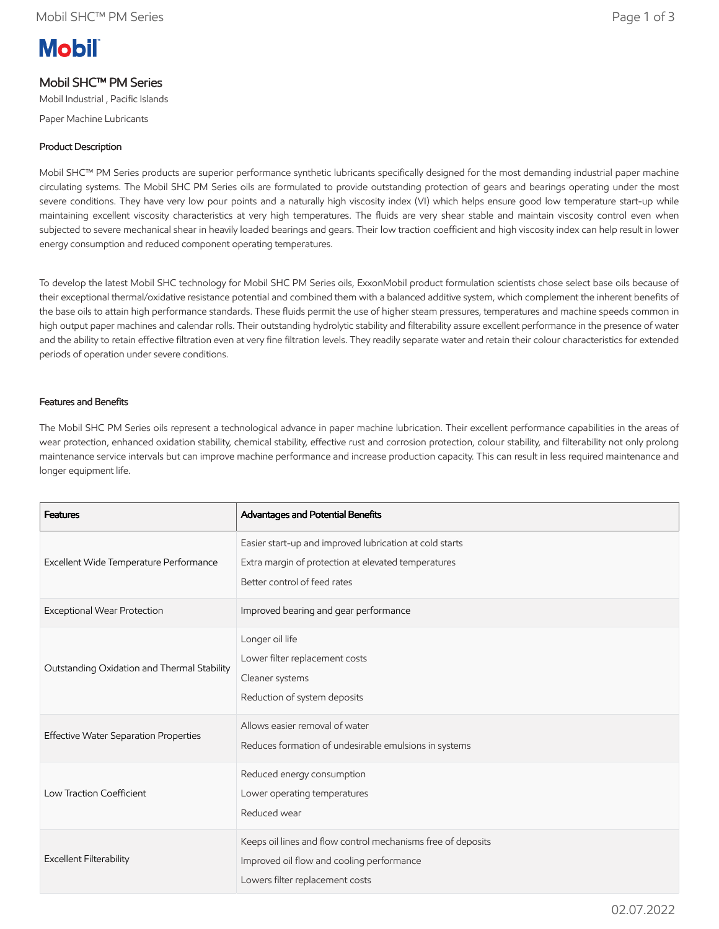# **Mobil**

## Mobil SHC™ PM Series

Mobil Industrial , Pacific Islands

Paper Machine Lubricants

### Product Description

Mobil SHC™ PM Series products are superior performance synthetic lubricants specifically designed for the most demanding industrial paper machine circulating systems. The Mobil SHC PM Series oils are formulated to provide outstanding protection of gears and bearings operating under the most severe conditions. They have very low pour points and a naturally high viscosity index (VI) which helps ensure good low temperature start-up while maintaining excellent viscosity characteristics at very high temperatures. The fluids are very shear stable and maintain viscosity control even when subjected to severe mechanical shear in heavily loaded bearings and gears. Their low traction coefficient and high viscosity index can help result in lower energy consumption and reduced component operating temperatures.

To develop the latest Mobil SHC technology for Mobil SHC PM Series oils, ExxonMobil product formulation scientists chose select base oils because of their exceptional thermal/oxidative resistance potential and combined them with a balanced additive system, which complement the inherent benefits of the base oils to attain high performance standards. These fluids permit the use of higher steam pressures, temperatures and machine speeds common in high output paper machines and calendar rolls. Their outstanding hydrolytic stability and filterability assure excellent performance in the presence of water and the ability to retain effective filtration even at very fine filtration levels. They readily separate water and retain their colour characteristics for extended periods of operation under severe conditions.

#### Features and Benefits

The Mobil SHC PM Series oils represent a technological advance in paper machine lubrication. Their excellent performance capabilities in the areas of wear protection, enhanced oxidation stability, chemical stability, effective rust and corrosion protection, colour stability, and filterability not only prolong maintenance service intervals but can improve machine performance and increase production capacity. This can result in less required maintenance and longer equipment life.

| <b>Features</b>                             | Advantages and Potential Benefits                                                                                                              |
|---------------------------------------------|------------------------------------------------------------------------------------------------------------------------------------------------|
| Excellent Wide Temperature Performance      | Easier start-up and improved lubrication at cold starts<br>Extra margin of protection at elevated temperatures<br>Better control of feed rates |
| Exceptional Wear Protection                 | Improved bearing and gear performance                                                                                                          |
| Outstanding Oxidation and Thermal Stability | Longer oil life<br>Lower filter replacement costs<br>Cleaner systems<br>Reduction of system deposits                                           |
| Effective Water Separation Properties       | Allows easier removal of water<br>Reduces formation of undesirable emulsions in systems                                                        |
| Low Traction Coefficient                    | Reduced energy consumption<br>Lower operating temperatures<br>Reduced wear                                                                     |
| Excellent Filterability                     | Keeps oil lines and flow control mechanisms free of deposits<br>Improved oil flow and cooling performance<br>Lowers filter replacement costs   |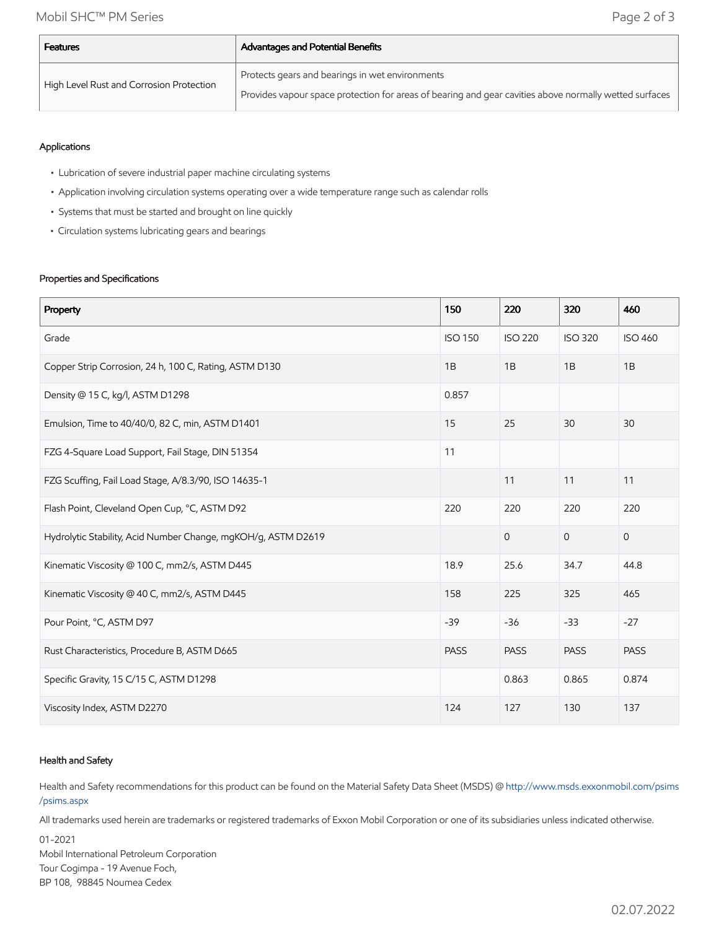| <b>Features</b>                          | <b>Advantages and Potential Benefits</b>                                                               |  |  |  |
|------------------------------------------|--------------------------------------------------------------------------------------------------------|--|--|--|
| High Level Rust and Corrosion Protection | Protects gears and bearings in wet environments                                                        |  |  |  |
|                                          | Provides vapour space protection for areas of bearing and gear cavities above normally wetted surfaces |  |  |  |

#### Applications

- Lubrication of severe industrial paper machine circulating systems
- Application involving circulation systems operating over a wide temperature range such as calendar rolls
- Systems that must be started and brought on line quickly
- Circulation systems lubricating gears and bearings

#### Properties and Specifications

| Property                                                      | 150            | 220            | 320            | 460            |
|---------------------------------------------------------------|----------------|----------------|----------------|----------------|
| Grade                                                         | <b>ISO 150</b> | <b>ISO 220</b> | <b>ISO 320</b> | <b>ISO 460</b> |
| Copper Strip Corrosion, 24 h, 100 C, Rating, ASTM D130        | 1B             | 1B             | 1B             | 1B             |
| Density @ 15 C, kg/l, ASTM D1298                              | 0.857          |                |                |                |
| Emulsion, Time to 40/40/0, 82 C, min, ASTM D1401              | 15             | 25             | 30             | 30             |
| FZG 4-Square Load Support, Fail Stage, DIN 51354              | 11             |                |                |                |
| FZG Scuffing, Fail Load Stage, A/8.3/90, ISO 14635-1          |                | 11             | 11             | 11             |
| Flash Point, Cleveland Open Cup, °C, ASTM D92                 | 220            | 220            | 220            | 220            |
| Hydrolytic Stability, Acid Number Change, mgKOH/g, ASTM D2619 |                | $\overline{0}$ | $\mathbf{O}$   | $\mathbf 0$    |
| Kinematic Viscosity @ 100 C, mm2/s, ASTM D445                 | 18.9           | 25.6           | 34.7           | 44.8           |
| Kinematic Viscosity @ 40 C, mm2/s, ASTM D445                  | 158            | 225            | 325            | 465            |
| Pour Point, °C, ASTM D97                                      | $-39$          | $-36$          | $-33$          | $-27$          |
| Rust Characteristics, Procedure B, ASTM D665                  | <b>PASS</b>    | <b>PASS</b>    | <b>PASS</b>    | <b>PASS</b>    |
| Specific Gravity, 15 C/15 C, ASTM D1298                       |                | 0.863          | 0.865          | 0.874          |
| Viscosity Index, ASTM D2270                                   | 124            | 127            | 130            | 137            |

#### Health and Safety

Health and Safety recommendations for this product can be found on the Material Safety Data Sheet (MSDS) @ [http://www.msds.exxonmobil.com/psims](http://www.msds.exxonmobil.com/psims/psims.aspx) /psims.aspx

All trademarks used herein are trademarks or registered trademarks of Exxon Mobil Corporation or one of its subsidiaries unless indicated otherwise.

01-2021

Mobil International Petroleum Corporation Tour Cogimpa - 19 Avenue Foch, BP 108, 98845 Noumea Cedex